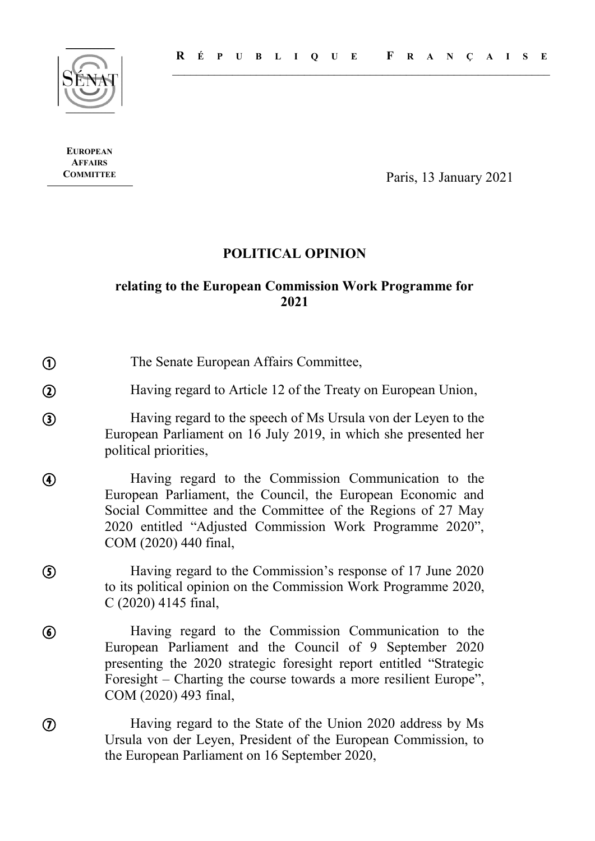

**EUROPEAN AFFAIRS**

 $\mathcal{L}_{\mathcal{A}}$ 

 $\mathcal{L}$ 

 $\odot$ 

 $\mathcal{L}_{\mathcal{L}}$ 

 $\mathcal{F}$ 

**COMMITTEE** Paris, 13 January 2021

# **POLITICAL OPINION**

## **relating to the European Commission Work Programme for 2021**

The Senate European Affairs Committee,

Having regard to Article 12 of the Treaty on European Union,  $\frac{1}{2}$  $\overline{\phantom{a}}$ 

Having regard to the speech of Ms Ursula von der Leyen to the European Parliament on 16 July 2019, in which she presented her political priorities,

Having regard to the Commission Communication to the European Parliament, the Council, the European Economic and Social Committee and the Committee of the Regions of 27 May 2020 entitled "Adjusted Commission Work Programme 2020", COM (2020) 440 final,  $\mathcal{L}_{\mathcal{A}}$ 

Having regard to the Commission's response of 17 June 2020 to its political opinion on the Commission Work Programme 2020, C (2020) 4145 final,

Having regard to the Commission Communication to the European Parliament and the Council of 9 September 2020 presenting the 2020 strategic foresight report entitled "Strategic Foresight – Charting the course towards a more resilient Europe", COM (2020) 493 final,  $\mathcal{L}_{\mathcal{A}}$ 

> Having regard to the State of the Union 2020 address by Ms Ursula von der Leyen, President of the European Commission, to the European Parliament on 16 September 2020,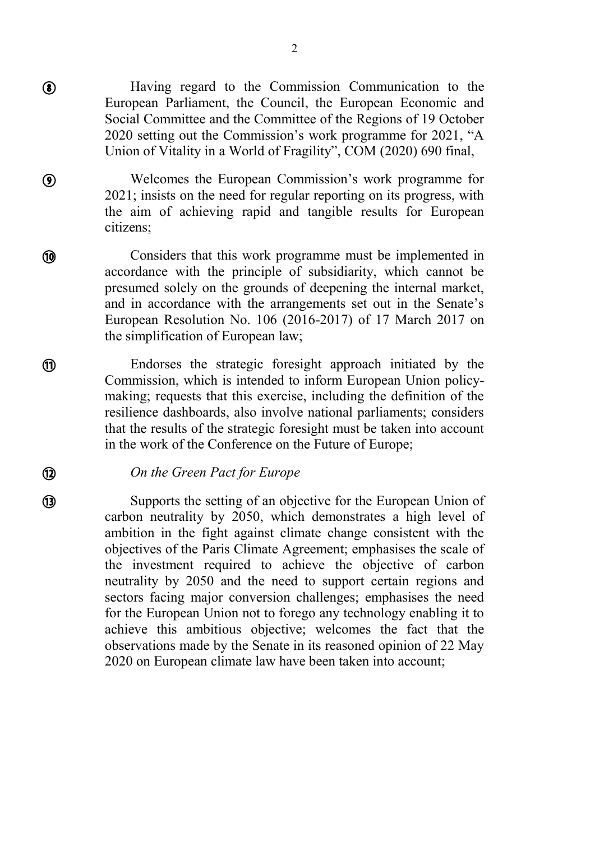Having regard to the Commission Communication to the European Parliament, the Council, the European Economic and Social Committee and the Committee of the Regions of 19 October 2020 setting out the Commission's work programme for 2021, "A Union of Vitality in a World of Fragility", COM (2020) 690 final,

Welcomes the European Commission's work programme for 2021; insists on the need for regular reporting on its progress, with the aim of achieving rapid and tangible results for European citizens;

Considers that this work programme must be implemented in accordance with the principle of subsidiarity, which cannot be presumed solely on the grounds of deepening the internal market, and in accordance with the arrangements set out in the Senate's European Resolution No. 106 (2016-2017) of 17 March 2017 on the simplification of European law;

Endorses the strategic foresight approach initiated by the Commission, which is intended to inform European Union policymaking; requests that this exercise, including the definition of the resilience dashboards, also involve national parliaments; considers that the results of the strategic foresight must be taken into account in the work of the Conference on the Future of Europe;

#### *On the Green Pact for Europe*

 $\mathcal{L}_{\mathcal{A}}$ 

 $\mathcal{L}_{\mathcal{A}}$ 

 $\circledcirc$ 

 $\mathcal{L}_{\mathcal{A}}$ 

⑩

 $\overline{\phantom{a}}$ 

 $\mathbf{\widehat{H}}$ 

 $\overline{\phantom{a}}$ 

 $\overline{\phantom{a}}$ 

Supports the setting of an objective for the European Union of carbon neutrality by 2050, which demonstrates a high level of ambition in the fight against climate change consistent with the objectives of the Paris Climate Agreement; emphasises the scale of the investment required to achieve the objective of carbon neutrality by 2050 and the need to support certain regions and sectors facing major conversion challenges; emphasises the need for the European Union not to forego any technology enabling it to achieve this ambitious objective; welcomes the fact that the observations made by the Senate in its reasoned opinion of 22 May 2020 on European climate law have been taken into account;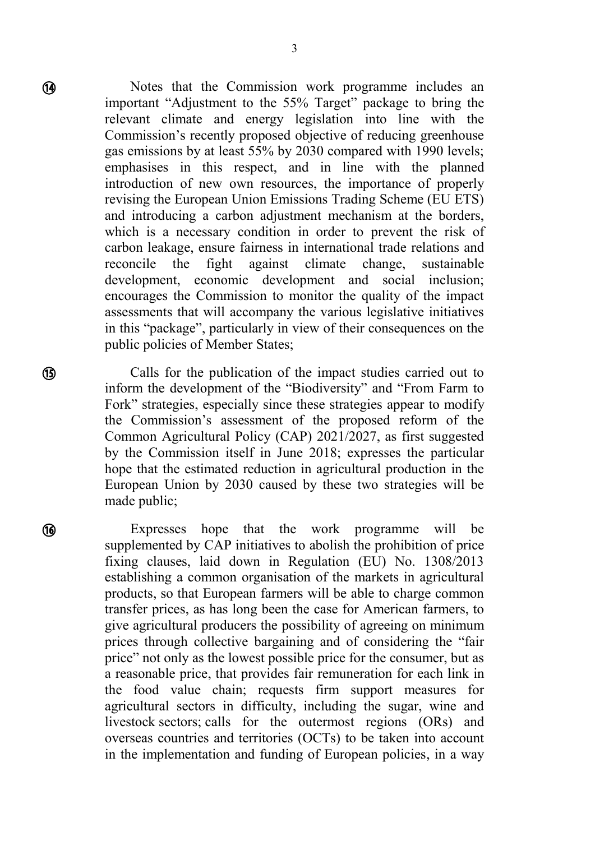Notes that the Commission work programme includes an important "Adjustment to the 55% Target" package to bring the relevant climate and energy legislation into line with the Commission's recently proposed objective of reducing greenhouse gas emissions by at least 55% by 2030 compared with 1990 levels; emphasises in this respect, and in line with the planned introduction of new own resources, the importance of properly revising the European Union Emissions Trading Scheme (EU ETS) and introducing a carbon adjustment mechanism at the borders, which is a necessary condition in order to prevent the risk of carbon leakage, ensure fairness in international trade relations and reconcile the fight against climate change, sustainable development, economic development and social inclusion; encourages the Commission to monitor the quality of the impact assessments that will accompany the various legislative initiatives in this "package", particularly in view of their consequences on the public policies of Member States;

Calls for the publication of the impact studies carried out to inform the development of the "Biodiversity" and "From Farm to Fork" strategies, especially since these strategies appear to modify the Commission's assessment of the proposed reform of the Common Agricultural Policy (CAP) 2021/2027, as first suggested by the Commission itself in June 2018; expresses the particular hope that the estimated reduction in agricultural production in the European Union by 2030 caused by these two strategies will be made public;

Expresses hope that the work programme will be supplemented by CAP initiatives to abolish the prohibition of price fixing clauses, laid down in Regulation (EU) No. 1308/2013 establishing a common organisation of the markets in agricultural products, so that European farmers will be able to charge common transfer prices, as has long been the case for American farmers, to give agricultural producers the possibility of agreeing on minimum prices through collective bargaining and of considering the "fair price" not only as the lowest possible price for the consumer, but as a reasonable price, that provides fair remuneration for each link in the food value chain; requests firm support measures for agricultural sectors in difficulty, including the sugar, wine and livestock sectors; calls for the outermost regions (ORs) and overseas countries and territories (OCTs) to be taken into account in the implementation and funding of European policies, in a way

 $\mathcal{L}_{\mathcal{A}}$ 

 $\overline{a}$ 

**B** 

 $\mathcal{L}_{\mathcal{A}}$ 

6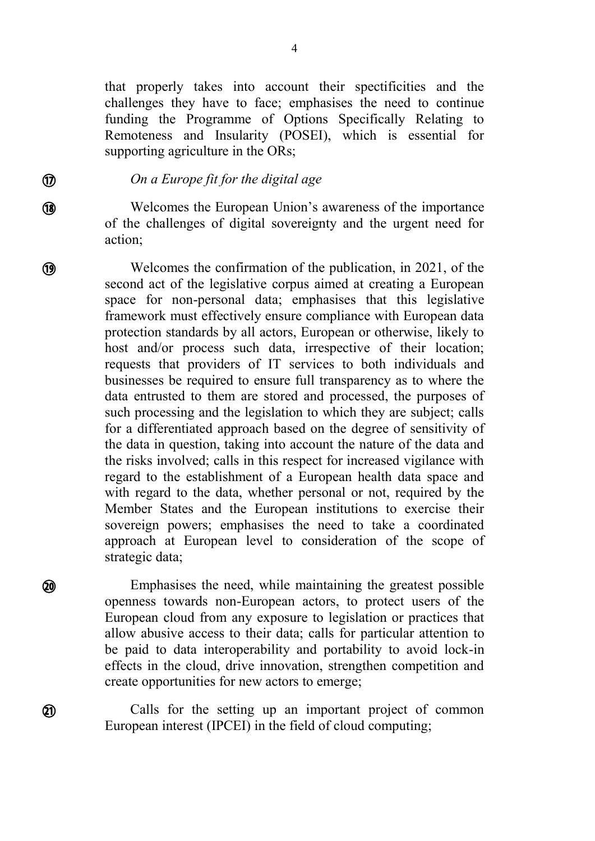that properly takes into account their spectificities and the challenges they have to face; emphasises the need to continue funding the Programme of Options Specifically Relating to Remoteness and Insularity (POSEI), which is essential for supporting agriculture in the ORs;

#### *On a Europe fit for the digital age*

 $\overline{\phantom{a}}$ 

 $\mathcal{D}$ 

 $\overline{a}$ 

 $\mathcal{L}_{\mathcal{L}}$ 

**19** 

 $\mathcal{L}_{\mathcal{L}}$ 

**20** 

 $\overline{\phantom{a}}$ 

Welcomes the European Union's awareness of the importance of the challenges of digital sovereignty and the urgent need for action;

Welcomes the confirmation of the publication, in 2021, of the second act of the legislative corpus aimed at creating a European space for non-personal data; emphasises that this legislative framework must effectively ensure compliance with European data protection standards by all actors, European or otherwise, likely to host and/or process such data, irrespective of their location; requests that providers of IT services to both individuals and businesses be required to ensure full transparency as to where the data entrusted to them are stored and processed, the purposes of such processing and the legislation to which they are subject; calls for a differentiated approach based on the degree of sensitivity of the data in question, taking into account the nature of the data and the risks involved; calls in this respect for increased vigilance with regard to the establishment of a European health data space and with regard to the data, whether personal or not, required by the Member States and the European institutions to exercise their sovereign powers; emphasises the need to take a coordinated approach at European level to consideration of the scope of strategic data;

Emphasises the need, while maintaining the greatest possible openness towards non-European actors, to protect users of the European cloud from any exposure to legislation or practices that allow abusive access to their data; calls for particular attention to be paid to data interoperability and portability to avoid lock-in effects in the cloud, drive innovation, strengthen competition and create opportunities for new actors to emerge;

Calls for the setting up an important project of common European interest (IPCEI) in the field of cloud computing;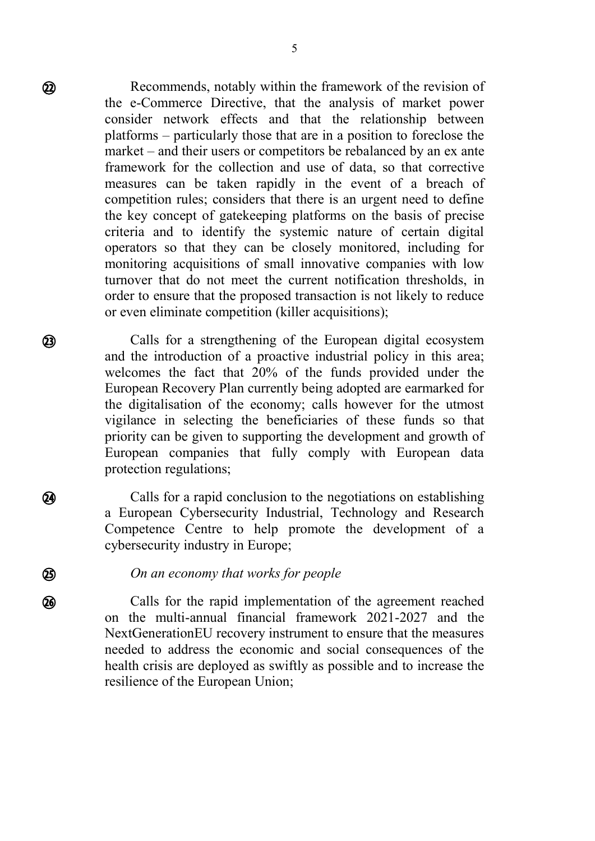Recommends, notably within the framework of the revision of the e-Commerce Directive, that the analysis of market power consider network effects and that the relationship between platforms – particularly those that are in a position to foreclose the market – and their users or competitors be rebalanced by an ex ante framework for the collection and use of data, so that corrective measures can be taken rapidly in the event of a breach of competition rules; considers that there is an urgent need to define the key concept of gatekeeping platforms on the basis of precise criteria and to identify the systemic nature of certain digital operators so that they can be closely monitored, including for monitoring acquisitions of small innovative companies with low turnover that do not meet the current notification thresholds, in order to ensure that the proposed transaction is not likely to reduce or even eliminate competition (killer acquisitions);

Calls for a strengthening of the European digital ecosystem and the introduction of a proactive industrial policy in this area; welcomes the fact that 20% of the funds provided under the European Recovery Plan currently being adopted are earmarked for the digitalisation of the economy; calls however for the utmost vigilance in selecting the beneficiaries of these funds so that priority can be given to supporting the development and growth of European companies that fully comply with European data protection regulations;

Calls for a rapid conclusion to the negotiations on establishing a European Cybersecurity Industrial, Technology and Research Competence Centre to help promote the development of a cybersecurity industry in Europe;

#### *On an economy that works for people*

Calls for the rapid implementation of the agreement reached on the multi-annual financial framework 2021-2027 and the NextGenerationEU recovery instrument to ensure that the measures needed to address the economic and social consequences of the health crisis are deployed as swiftly as possible and to increase the resilience of the European Union;

 $\mathcal{L}_{\mathcal{A}}$ 

 $\overline{\phantom{a}}$ 

 $\Omega$ 

 $\mathcal{L}_{\mathcal{A}}$ 

 $\frac{1}{2}$ 

**25)** 

 $\mathcal{L}_{\mathcal{A}}$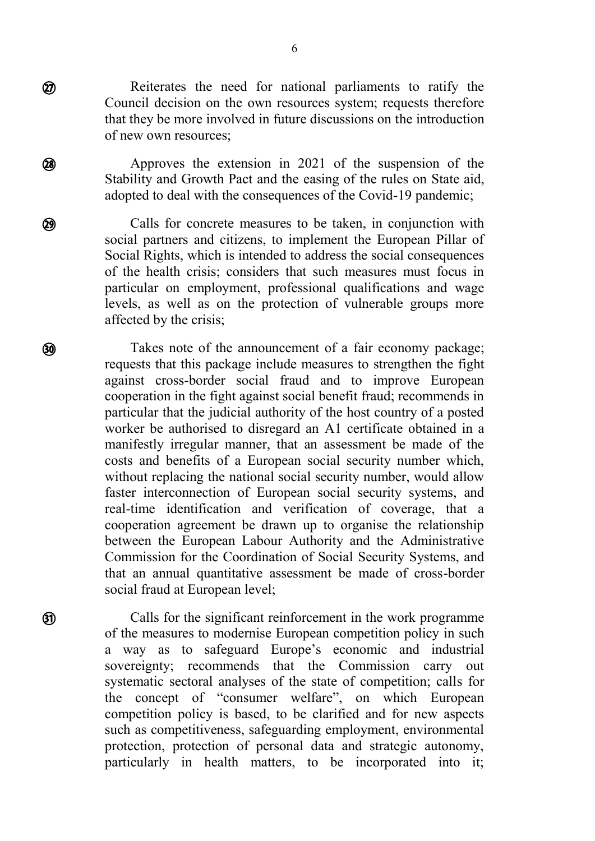Reiterates the need for national parliaments to ratify the Council decision on the own resources system; requests therefore that they be more involved in future discussions on the introduction of new own resources;

 $\mathcal{L}_{\mathcal{A}}$ 

 $\mathcal{L}_{\mathcal{L}}$ 

**28** 

 $\overline{a}$ 

**29** 

 $\mathcal{L}_{\mathcal{L}}$ 

௵

 $\mathcal{L}_{\mathcal{A}}$ 

**ග** 

Approves the extension in 2021 of the suspension of the Stability and Growth Pact and the easing of the rules on State aid, adopted to deal with the consequences of the Covid-19 pandemic;

Calls for concrete measures to be taken, in conjunction with social partners and citizens, to implement the European Pillar of Social Rights, which is intended to address the social consequences of the health crisis; considers that such measures must focus in particular on employment, professional qualifications and wage levels, as well as on the protection of vulnerable groups more affected by the crisis;

Takes note of the announcement of a fair economy package; requests that this package include measures to strengthen the fight against cross-border social fraud and to improve European cooperation in the fight against social benefit fraud; recommends in particular that the judicial authority of the host country of a posted worker be authorised to disregard an A1 certificate obtained in a manifestly irregular manner, that an assessment be made of the costs and benefits of a European social security number which, without replacing the national social security number, would allow faster interconnection of European social security systems, and real-time identification and verification of coverage, that a cooperation agreement be drawn up to organise the relationship between the European Labour Authority and the Administrative Commission for the Coordination of Social Security Systems, and that an annual quantitative assessment be made of cross-border social fraud at European level;

Calls for the significant reinforcement in the work programme of the measures to modernise European competition policy in such a way as to safeguard Europe's economic and industrial sovereignty; recommends that the Commission carry out systematic sectoral analyses of the state of competition; calls for the concept of "consumer welfare", on which European competition policy is based, to be clarified and for new aspects such as competitiveness, safeguarding employment, environmental protection, protection of personal data and strategic autonomy, particularly in health matters, to be incorporated into it;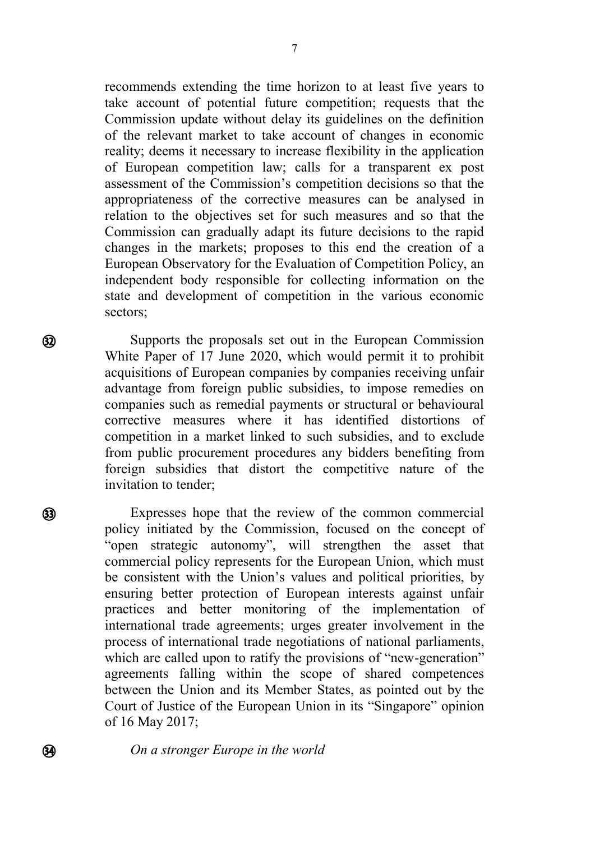recommends extending the time horizon to at least five years to take account of potential future competition; requests that the Commission update without delay its guidelines on the definition of the relevant market to take account of changes in economic reality; deems it necessary to increase flexibility in the application of European competition law; calls for a transparent ex post assessment of the Commission's competition decisions so that the appropriateness of the corrective measures can be analysed in relation to the objectives set for such measures and so that the Commission can gradually adapt its future decisions to the rapid changes in the markets; proposes to this end the creation of a European Observatory for the Evaluation of Competition Policy, an independent body responsible for collecting information on the state and development of competition in the various economic sectors;

Supports the proposals set out in the European Commission White Paper of 17 June 2020, which would permit it to prohibit acquisitions of European companies by companies receiving unfair advantage from foreign public subsidies, to impose remedies on companies such as remedial payments or structural or behavioural corrective measures where it has identified distortions of competition in a market linked to such subsidies, and to exclude from public procurement procedures any bidders benefiting from foreign subsidies that distort the competitive nature of the invitation to tender;

Expresses hope that the review of the common commercial policy initiated by the Commission, focused on the concept of "open strategic autonomy", will strengthen the asset that commercial policy represents for the European Union, which must be consistent with the Union's values and political priorities, by ensuring better protection of European interests against unfair practices and better monitoring of the implementation of international trade agreements; urges greater involvement in the process of international trade negotiations of national parliaments, which are called upon to ratify the provisions of "new-generation" agreements falling within the scope of shared competences between the Union and its Member States, as pointed out by the Court of Justice of the European Union in its "Singapore" opinion of 16 May 2017;

*On a stronger Europe in the world*

 $\overline{\phantom{a}}$ 

 $\Omega$ 

 $\mathcal{L}_{\mathcal{A}}$ 

 $\mathcal{L}_{\mathcal{A}}$ 

 $\mathbf{Q}$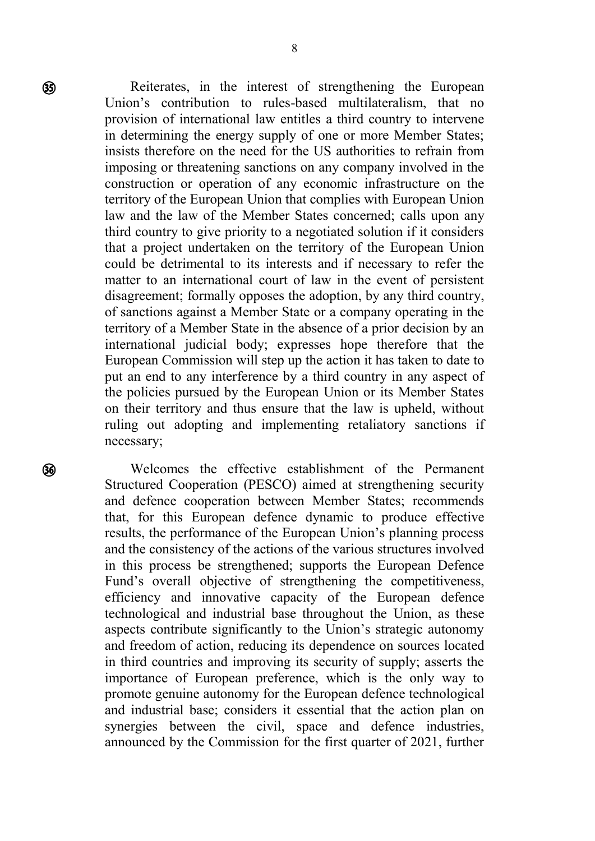Reiterates, in the interest of strengthening the European Union's contribution to rules-based multilateralism, that no provision of international law entitles a third country to intervene in determining the energy supply of one or more Member States; insists therefore on the need for the US authorities to refrain from imposing or threatening sanctions on any company involved in the construction or operation of any economic infrastructure on the territory of the European Union that complies with European Union law and the law of the Member States concerned; calls upon any third country to give priority to a negotiated solution if it considers that a project undertaken on the territory of the European Union could be detrimental to its interests and if necessary to refer the matter to an international court of law in the event of persistent disagreement; formally opposes the adoption, by any third country, of sanctions against a Member State or a company operating in the territory of a Member State in the absence of a prior decision by an international judicial body; expresses hope therefore that the European Commission will step up the action it has taken to date to put an end to any interference by a third country in any aspect of the policies pursued by the European Union or its Member States on their territory and thus ensure that the law is upheld, without ruling out adopting and implementing retaliatory sanctions if necessary;

Welcomes the effective establishment of the Permanent Structured Cooperation (PESCO) aimed at strengthening security and defence cooperation between Member States; recommends that, for this European defence dynamic to produce effective results, the performance of the European Union's planning process and the consistency of the actions of the various structures involved in this process be strengthened; supports the European Defence Fund's overall objective of strengthening the competitiveness, efficiency and innovative capacity of the European defence technological and industrial base throughout the Union, as these aspects contribute significantly to the Union's strategic autonomy and freedom of action, reducing its dependence on sources located in third countries and improving its security of supply; asserts the importance of European preference, which is the only way to promote genuine autonomy for the European defence technological and industrial base; considers it essential that the action plan on synergies between the civil, space and defence industries, announced by the Commission for the first quarter of 2021, further

 $\mathcal{L}_{\mathcal{A}}$ 

ை  $\sim$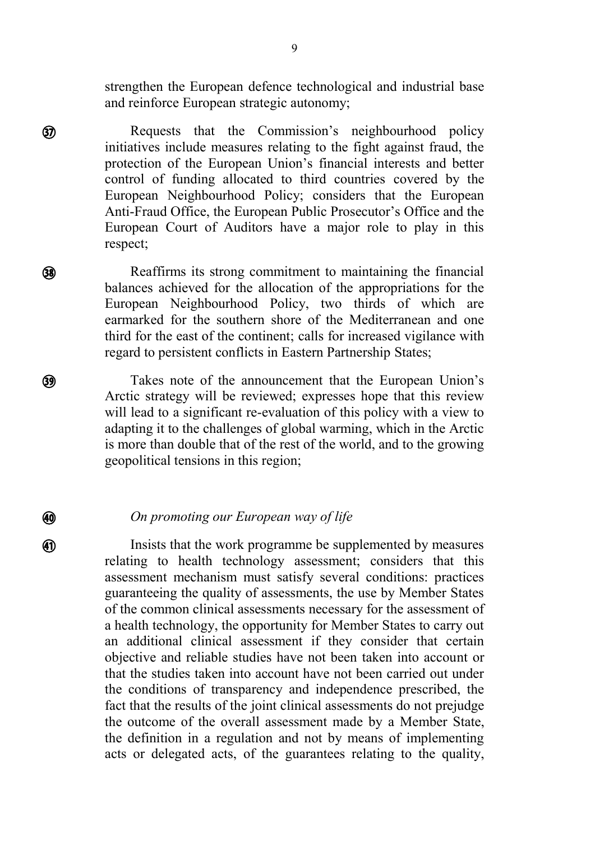strengthen the European defence technological and industrial base and reinforce European strategic autonomy;

Requests that the Commission's neighbourhood policy initiatives include measures relating to the fight against fraud, the protection of the European Union's financial interests and better control of funding allocated to third countries covered by the European Neighbourhood Policy; considers that the European Anti-Fraud Office, the European Public Prosecutor's Office and the European Court of Auditors have a major role to play in this respect;

 $\mathcal{L}$ 

இ

 $\mathcal{L}_{\mathcal{A}}$ 

 $\circledR$ 

 $\overline{\phantom{a}}$ 

 $(39)$ 

 $\frac{1}{2}$ 

40

 $\mathcal{L}_{\mathcal{A}}$ 

Reaffirms its strong commitment to maintaining the financial balances achieved for the allocation of the appropriations for the European Neighbourhood Policy, two thirds of which are earmarked for the southern shore of the Mediterranean and one third for the east of the continent; calls for increased vigilance with regard to persistent conflicts in Eastern Partnership States;

Takes note of the announcement that the European Union's Arctic strategy will be reviewed; expresses hope that this review will lead to a significant re-evaluation of this policy with a view to adapting it to the challenges of global warming, which in the Arctic is more than double that of the rest of the world, and to the growing geopolitical tensions in this region;

*On promoting our European way of life*

Insists that the work programme be supplemented by measures relating to health technology assessment; considers that this assessment mechanism must satisfy several conditions: practices guaranteeing the quality of assessments, the use by Member States of the common clinical assessments necessary for the assessment of a health technology, the opportunity for Member States to carry out an additional clinical assessment if they consider that certain objective and reliable studies have not been taken into account or that the studies taken into account have not been carried out under the conditions of transparency and independence prescribed, the fact that the results of the joint clinical assessments do not prejudge the outcome of the overall assessment made by a Member State, the definition in a regulation and not by means of implementing acts or delegated acts, of the guarantees relating to the quality,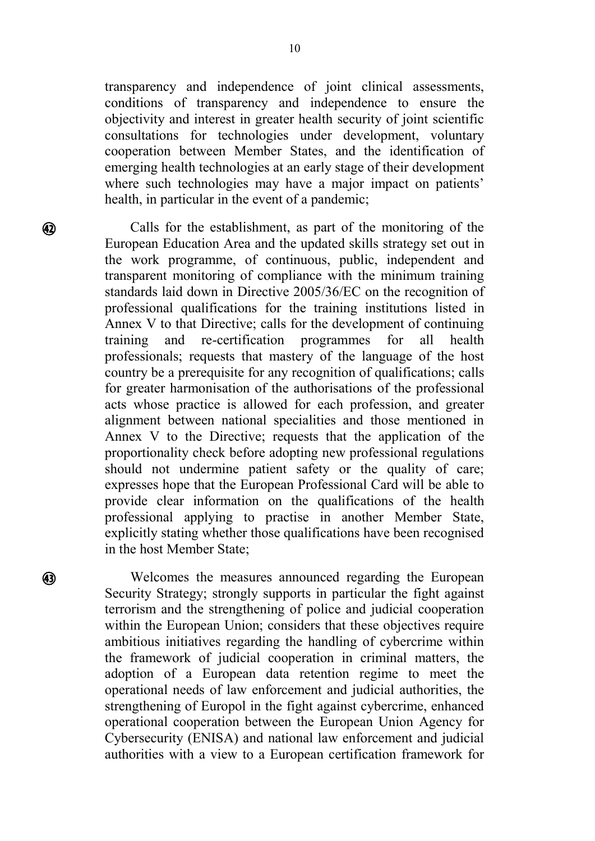transparency and independence of joint clinical assessments, conditions of transparency and independence to ensure the objectivity and interest in greater health security of joint scientific consultations for technologies under development, voluntary cooperation between Member States, and the identification of emerging health technologies at an early stage of their development where such technologies may have a major impact on patients' health, in particular in the event of a pandemic;

 $\mathcal{L}_{\mathcal{A}}$ 

 $\Omega$ 

 $\mathcal{L}_{\mathcal{L}}$ 

Calls for the establishment, as part of the monitoring of the European Education Area and the updated skills strategy set out in the work programme, of continuous, public, independent and transparent monitoring of compliance with the minimum training standards laid down in Directive 2005/36/EC on the recognition of professional qualifications for the training institutions listed in Annex V to that Directive; calls for the development of continuing training and re-certification programmes for all health professionals; requests that mastery of the language of the host country be a prerequisite for any recognition of qualifications; calls for greater harmonisation of the authorisations of the professional acts whose practice is allowed for each profession, and greater alignment between national specialities and those mentioned in Annex V to the Directive; requests that the application of the proportionality check before adopting new professional regulations should not undermine patient safety or the quality of care; expresses hope that the European Professional Card will be able to provide clear information on the qualifications of the health professional applying to practise in another Member State, explicitly stating whether those qualifications have been recognised in the host Member State;

Welcomes the measures announced regarding the European Security Strategy; strongly supports in particular the fight against terrorism and the strengthening of police and judicial cooperation within the European Union; considers that these objectives require ambitious initiatives regarding the handling of cybercrime within the framework of judicial cooperation in criminal matters, the adoption of a European data retention regime to meet the operational needs of law enforcement and judicial authorities, the strengthening of Europol in the fight against cybercrime, enhanced operational cooperation between the European Union Agency for Cybersecurity (ENISA) and national law enforcement and judicial authorities with a view to a European certification framework for